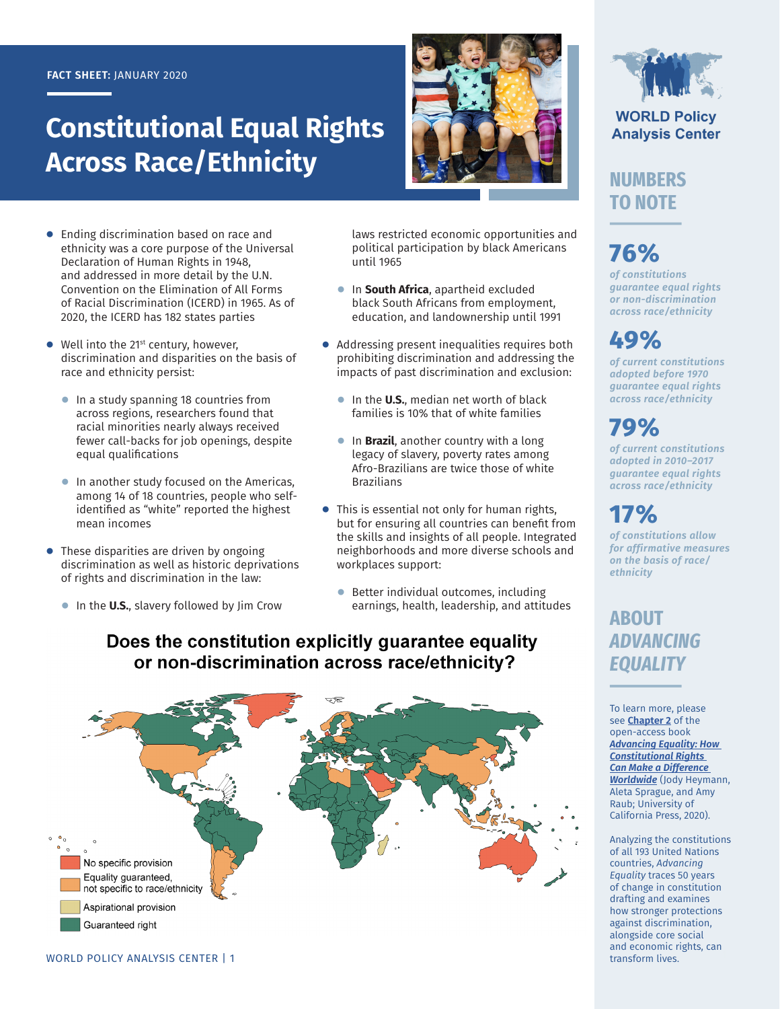#### **FACT SHEET:** JANUARY 2020

# **Constitutional Equal Rights Across Race/Ethnicity**



- **●** Ending discrimination based on race and ethnicity was a core purpose of the Universal Declaration of Human Rights in 1948, and addressed in more detail by the U.N. Convention on the Elimination of All Forms of Racial Discrimination (ICERD) in 1965. As of 2020, the ICERD has 182 states parties
- Well into the 21<sup>st</sup> century, however, discrimination and disparities on the basis of race and ethnicity persist:
	- **●** In a study spanning 18 countries from across regions, researchers found that racial minorities nearly always received fewer call-backs for job openings, despite equal qualifications
	- **●** In another study focused on the Americas, among 14 of 18 countries, people who selfidentified as "white" reported the highest mean incomes
- These disparities are driven by ongoing discrimination as well as historic deprivations of rights and discrimination in the law:
	- In the **U.S.**, slavery followed by Jim Crow

laws restricted economic opportunities and political participation by black Americans until 1965

- **●** In **South Africa**, apartheid excluded black South Africans from employment, education, and landownership until 1991
- Addressing present inequalities requires both prohibiting discrimination and addressing the impacts of past discrimination and exclusion:
	- **●** In the **U.S.**, median net worth of black families is 10% that of white families
	- In **Brazil**, another country with a long legacy of slavery, poverty rates among Afro-Brazilians are twice those of white Brazilians
- **●** This is essential not only for human rights, but for ensuring all countries can benefit from the skills and insights of all people. Integrated neighborhoods and more diverse schools and workplaces support:
	- Better individual outcomes, including earnings, health, leadership, and attitudes

### Does the constitution explicitly guarantee equality or non-discrimination across race/ethnicity?





#### **WORLD Policy Analysis Center**

### **NUMBERS TO NOTE**

# **76%**

*of constitutions guarantee equal rights or non-discrimination across race/ethnicity*

## **49%**

*of current constitutions adopted before 1970 guarantee equal rights across race/ethnicity*

## **79%**

*of current constitutions adopted in 2010–2017 guarantee equal rights across race/ethnicity*

## **17%**

*of constitutions allow for affirmative measures on the basis of race/ ethnicity* 

### **ABOUT**  *ADVANCING EQUALITY*

To learn more, please see **[Chapter 2](https://doi.org/10.1525/luminos.81.c)** of the open-access book *[Advancing Equality: How](https://doi.org/10.1525/luminos.81)  [Constitutional Rights](https://doi.org/10.1525/luminos.81)  [Can Make a Difference](https://doi.org/10.1525/luminos.81)  [Worldwide](https://doi.org/10.1525/luminos.81)* (Jody Heymann, Aleta Sprague, and Amy Raub; University of California Press, 2020).

Analyzing the constitutions of all 193 United Nations countries, *Advancing Equality* traces 50 years of change in constitution drafting and examines how stronger protections against discrimination, alongside core social and economic rights, can transform lives.